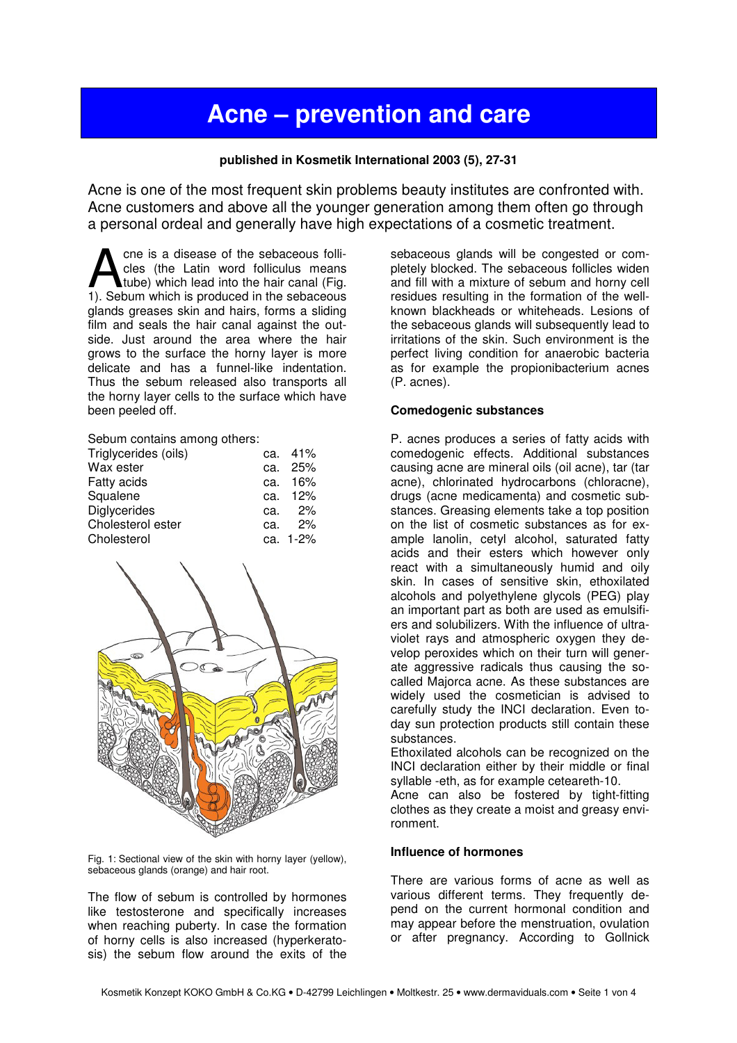# **Acne – prevention and care**

## **published in Kosmetik International 2003 (5), 27-31**

Acne is one of the most frequent skin problems beauty institutes are confronted with. Acne customers and above all the younger generation among them often go through a personal ordeal and generally have high expectations of a cosmetic treatment.

cne is a disease of the sebaceous follicles (the Latin word folliculus means tube) which lead into the hair canal (Fig. **1).** Sebum which is produced in the sebaceous folli-<br>tube) which lead into the hair canal (Fig.<br>1). Sebum which is produced in the sebaceous glands greases skin and hairs, forms a sliding film and seals the hair canal against the outside. Just around the area where the hair grows to the surface the horny layer is more delicate and has a funnel-like indentation. Thus the sebum released also transports all the horny layer cells to the surface which have been peeled off.

Sebum contains among others:

| Triglycerides (oils) | ca. 41%    |
|----------------------|------------|
| Wax ester            | ca. 25%    |
| <b>Fatty acids</b>   | ca. 16%    |
| Squalene             | ca. 12%    |
| Diglycerides         | ca. $2\%$  |
| Cholesterol ester    | ca. 2%     |
| Cholesterol          | ca. $1-2%$ |



Fig. 1: Sectional view of the skin with horny layer (yellow), sebaceous glands (orange) and hair root.

The flow of sebum is controlled by hormones like testosterone and specifically increases when reaching puberty. In case the formation of horny cells is also increased (hyperkeratosis) the sebum flow around the exits of the

sebaceous glands will be congested or completely blocked. The sebaceous follicles widen and fill with a mixture of sebum and horny cell residues resulting in the formation of the wellknown blackheads or whiteheads. Lesions of the sebaceous glands will subsequently lead to irritations of the skin. Such environment is the perfect living condition for anaerobic bacteria as for example the propionibacterium acnes (P. acnes).

#### **Comedogenic substances**

P. acnes produces a series of fatty acids with comedogenic effects. Additional substances causing acne are mineral oils (oil acne), tar (tar acne), chlorinated hydrocarbons (chloracne), drugs (acne medicamenta) and cosmetic substances. Greasing elements take a top position on the list of cosmetic substances as for example lanolin, cetyl alcohol, saturated fatty acids and their esters which however only react with a simultaneously humid and oily skin. In cases of sensitive skin, ethoxilated alcohols and polyethylene glycols (PEG) play an important part as both are used as emulsifiers and solubilizers. With the influence of ultraviolet rays and atmospheric oxygen they develop peroxides which on their turn will generate aggressive radicals thus causing the socalled Majorca acne. As these substances are widely used the cosmetician is advised to carefully study the INCI declaration. Even today sun protection products still contain these substances.

Ethoxilated alcohols can be recognized on the INCI declaration either by their middle or final syllable -eth, as for example ceteareth-10.

Acne can also be fostered by tight-fitting clothes as they create a moist and greasy environment.

#### **Influence of hormones**

There are various forms of acne as well as various different terms. They frequently depend on the current hormonal condition and may appear before the menstruation, ovulation or after pregnancy. According to Gollnick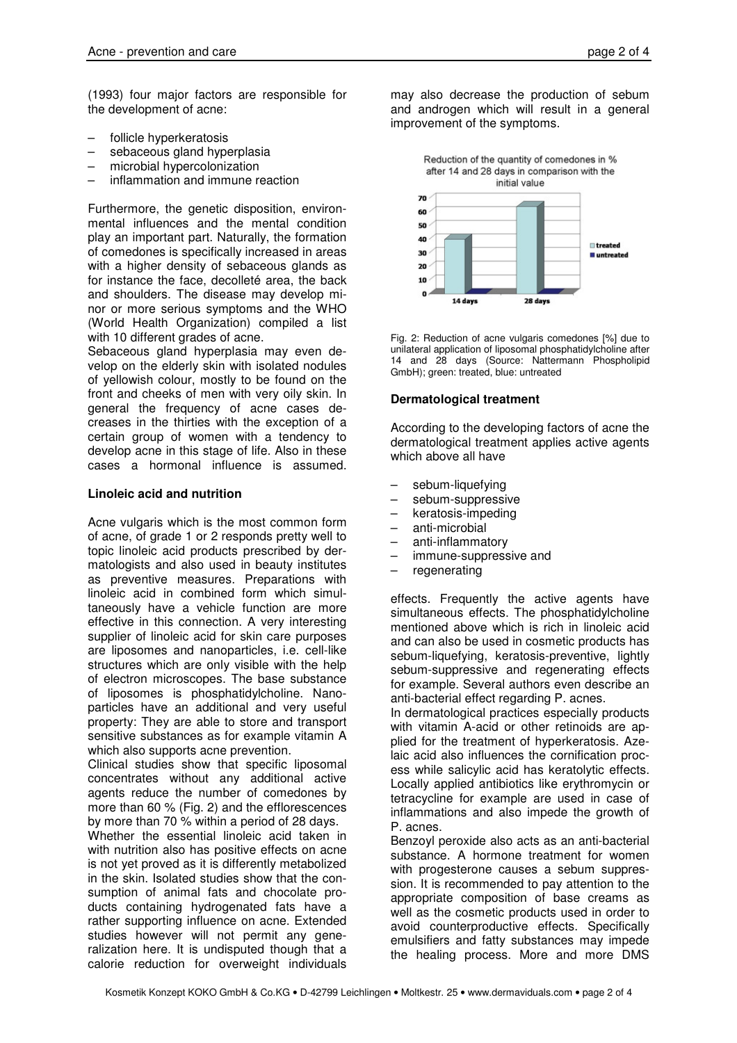(1993) four major factors are responsible for the development of acne:

- follicle hyperkeratosis
- sebaceous gland hyperplasia
- microbial hypercolonization
- inflammation and immune reaction

Furthermore, the genetic disposition, environmental influences and the mental condition play an important part. Naturally, the formation of comedones is specifically increased in areas with a higher density of sebaceous glands as for instance the face, decolleté area, the back and shoulders. The disease may develop minor or more serious symptoms and the WHO (World Health Organization) compiled a list with 10 different grades of acne.

Sebaceous gland hyperplasia may even develop on the elderly skin with isolated nodules of yellowish colour, mostly to be found on the front and cheeks of men with very oily skin. In general the frequency of acne cases decreases in the thirties with the exception of a certain group of women with a tendency to develop acne in this stage of life. Also in these cases a hormonal influence is assumed.

## **Linoleic acid and nutrition**

Acne vulgaris which is the most common form of acne, of grade 1 or 2 responds pretty well to topic linoleic acid products prescribed by dermatologists and also used in beauty institutes as preventive measures. Preparations with linoleic acid in combined form which simultaneously have a vehicle function are more effective in this connection. A very interesting supplier of linoleic acid for skin care purposes are liposomes and nanoparticles, i.e. cell-like structures which are only visible with the help of electron microscopes. The base substance of liposomes is phosphatidylcholine. Nanoparticles have an additional and very useful property: They are able to store and transport sensitive substances as for example vitamin A which also supports acne prevention.

Clinical studies show that specific liposomal concentrates without any additional active agents reduce the number of comedones by more than 60 % (Fig. 2) and the efflorescences by more than 70 % within a period of 28 days.

Whether the essential linoleic acid taken in with nutrition also has positive effects on acne is not yet proved as it is differently metabolized in the skin. Isolated studies show that the consumption of animal fats and chocolate products containing hydrogenated fats have a rather supporting influence on acne. Extended studies however will not permit any generalization here. It is undisputed though that a calorie reduction for overweight individuals may also decrease the production of sebum and androgen which will result in a general improvement of the symptoms.



Fig. 2: Reduction of acne vulgaris comedones [%] due to unilateral application of liposomal phosphatidylcholine after 14 and 28 days (Source: Nattermann Phospholipid GmbH); green: treated, blue: untreated

# **Dermatological treatment**

According to the developing factors of acne the dermatological treatment applies active agents which above all have

- sebum-liquefying
- sebum-suppressive
- keratosis-impeding
- anti-microbial
- anti-inflammatory
- immune-suppressive and
- regenerating

effects. Frequently the active agents have simultaneous effects. The phosphatidylcholine mentioned above which is rich in linoleic acid and can also be used in cosmetic products has sebum-liquefying, keratosis-preventive, lightly sebum-suppressive and regenerating effects for example. Several authors even describe an anti-bacterial effect regarding P. acnes.

In dermatological practices especially products with vitamin A-acid or other retinoids are applied for the treatment of hyperkeratosis. Azelaic acid also influences the cornification process while salicylic acid has keratolytic effects. Locally applied antibiotics like erythromycin or tetracycline for example are used in case of inflammations and also impede the growth of P. acnes.

Benzoyl peroxide also acts as an anti-bacterial substance. A hormone treatment for women with progesterone causes a sebum suppression. It is recommended to pay attention to the appropriate composition of base creams as well as the cosmetic products used in order to avoid counterproductive effects. Specifically emulsifiers and fatty substances may impede the healing process. More and more DMS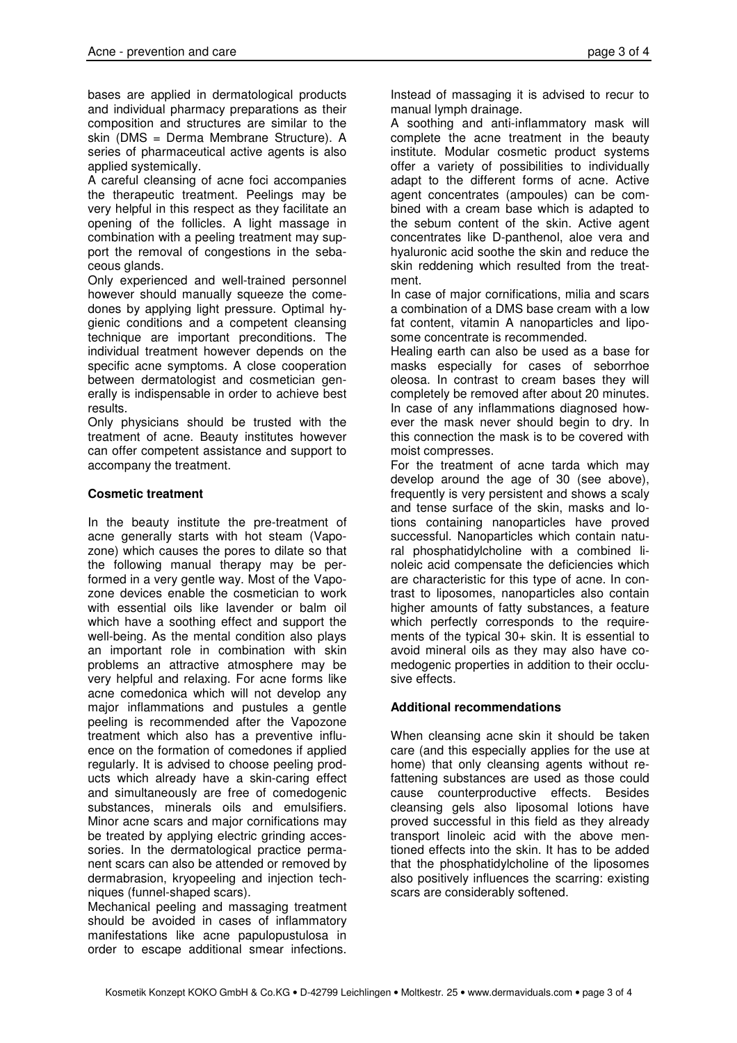bases are applied in dermatological products and individual pharmacy preparations as their composition and structures are similar to the skin (DMS = Derma Membrane Structure). A series of pharmaceutical active agents is also applied systemically.

A careful cleansing of acne foci accompanies the therapeutic treatment. Peelings may be very helpful in this respect as they facilitate an opening of the follicles. A light massage in combination with a peeling treatment may support the removal of congestions in the sebaceous glands.

Only experienced and well-trained personnel however should manually squeeze the comedones by applying light pressure. Optimal hygienic conditions and a competent cleansing technique are important preconditions. The individual treatment however depends on the specific acne symptoms. A close cooperation between dermatologist and cosmetician generally is indispensable in order to achieve best results.

Only physicians should be trusted with the treatment of acne. Beauty institutes however can offer competent assistance and support to accompany the treatment.

# **Cosmetic treatment**

In the beauty institute the pre-treatment of acne generally starts with hot steam (Vapozone) which causes the pores to dilate so that the following manual therapy may be performed in a very gentle way. Most of the Vapozone devices enable the cosmetician to work with essential oils like lavender or balm oil which have a soothing effect and support the well-being. As the mental condition also plays an important role in combination with skin problems an attractive atmosphere may be very helpful and relaxing. For acne forms like acne comedonica which will not develop any major inflammations and pustules a gentle peeling is recommended after the Vapozone treatment which also has a preventive influence on the formation of comedones if applied regularly. It is advised to choose peeling products which already have a skin-caring effect and simultaneously are free of comedogenic substances, minerals oils and emulsifiers. Minor acne scars and major cornifications may be treated by applying electric grinding accessories. In the dermatological practice permanent scars can also be attended or removed by dermabrasion, kryopeeling and injection techniques (funnel-shaped scars).

Mechanical peeling and massaging treatment should be avoided in cases of inflammatory manifestations like acne papulopustulosa in order to escape additional smear infections.

Instead of massaging it is advised to recur to manual lymph drainage.

A soothing and anti-inflammatory mask will complete the acne treatment in the beauty institute. Modular cosmetic product systems offer a variety of possibilities to individually adapt to the different forms of acne. Active agent concentrates (ampoules) can be combined with a cream base which is adapted to the sebum content of the skin. Active agent concentrates like D-panthenol, aloe vera and hyaluronic acid soothe the skin and reduce the skin reddening which resulted from the treatment.

In case of major cornifications, milia and scars a combination of a DMS base cream with a low fat content, vitamin A nanoparticles and liposome concentrate is recommended.

Healing earth can also be used as a base for masks especially for cases of seborrhoe oleosa. In contrast to cream bases they will completely be removed after about 20 minutes. In case of any inflammations diagnosed however the mask never should begin to dry. In this connection the mask is to be covered with moist compresses.

For the treatment of acne tarda which may develop around the age of 30 (see above), frequently is very persistent and shows a scaly and tense surface of the skin, masks and lotions containing nanoparticles have proved successful. Nanoparticles which contain natural phosphatidylcholine with a combined linoleic acid compensate the deficiencies which are characteristic for this type of acne. In contrast to liposomes, nanoparticles also contain higher amounts of fatty substances, a feature which perfectly corresponds to the requirements of the typical 30+ skin. It is essential to avoid mineral oils as they may also have comedogenic properties in addition to their occlusive effects.

# **Additional recommendations**

When cleansing acne skin it should be taken care (and this especially applies for the use at home) that only cleansing agents without refattening substances are used as those could cause counterproductive effects. Besides cleansing gels also liposomal lotions have proved successful in this field as they already transport linoleic acid with the above mentioned effects into the skin. It has to be added that the phosphatidylcholine of the liposomes also positively influences the scarring: existing scars are considerably softened.